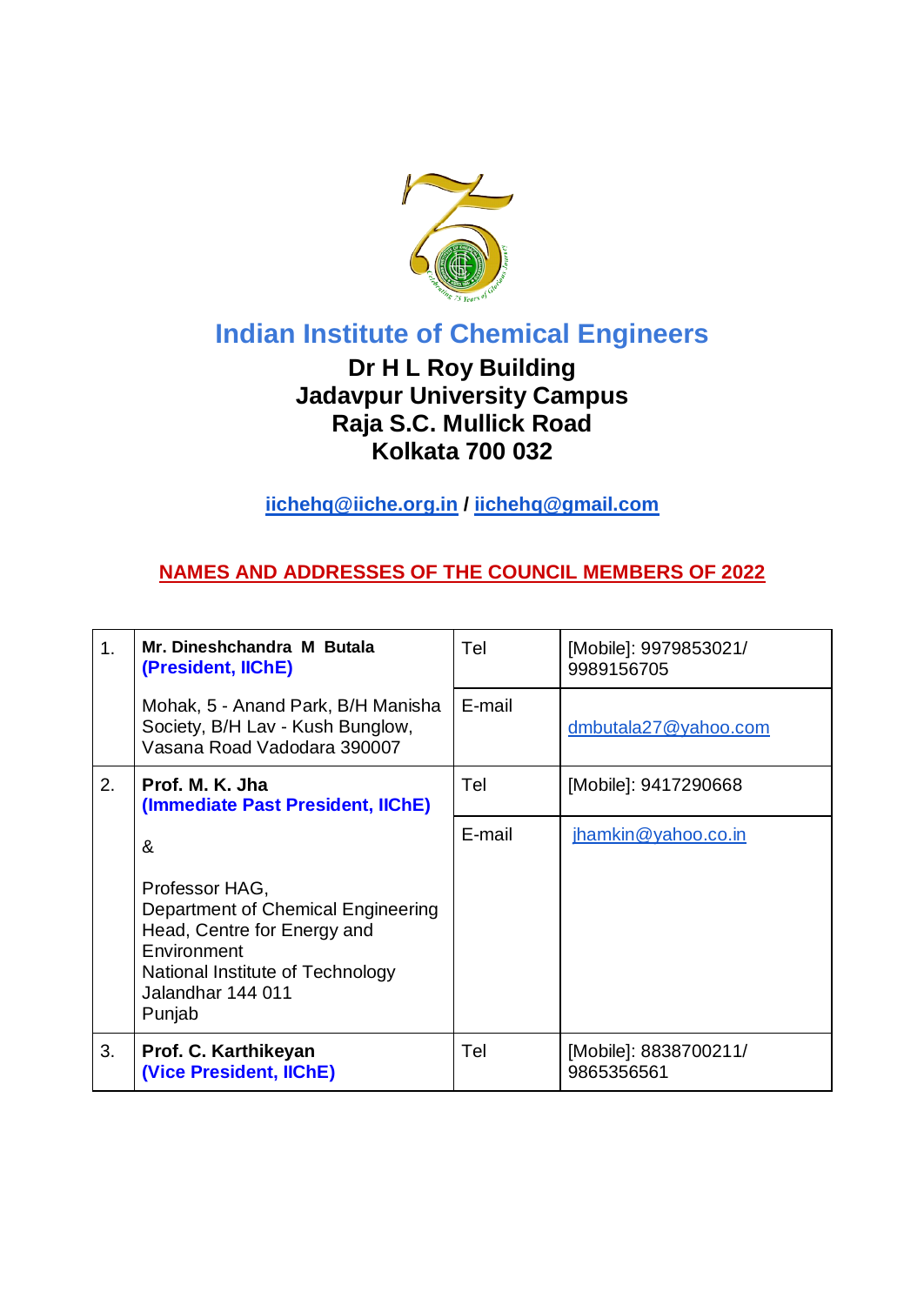

## **Indian Institute of Chemical Engineers**

## **Dr H L Roy Building Jadavpur University Campus Raja S.C. Mullick Road Kolkata 700 032**

**iichehq@iiche.org.in / iichehq@gmail.com**

## **NAMES AND ADDRESSES OF THE COUNCIL MEMBERS OF 2022**

| 1. | Mr. Dineshchandra M Butala<br>(President, IIChE)                                                                                                                      | Tel    | [Mobile]: 9979853021/<br>9989156705 |
|----|-----------------------------------------------------------------------------------------------------------------------------------------------------------------------|--------|-------------------------------------|
|    | Mohak, 5 - Anand Park, B/H Manisha<br>Society, B/H Lav - Kush Bunglow,<br>Vasana Road Vadodara 390007                                                                 | E-mail | dmbutala27@yahoo.com                |
| 2. | Prof. M. K. Jha<br>(Immediate Past President, IIChE)                                                                                                                  | Tel    | [Mobile]: 9417290668                |
|    | &                                                                                                                                                                     | E-mail | jhamkin@yahoo.co.in                 |
|    | Professor HAG,<br>Department of Chemical Engineering<br>Head, Centre for Energy and<br>Environment<br>National Institute of Technology<br>Jalandhar 144 011<br>Punjab |        |                                     |
| 3. | Prof. C. Karthikeyan<br>(Vice President, IIChE)                                                                                                                       | Tel    | [Mobile]: 8838700211/<br>9865356561 |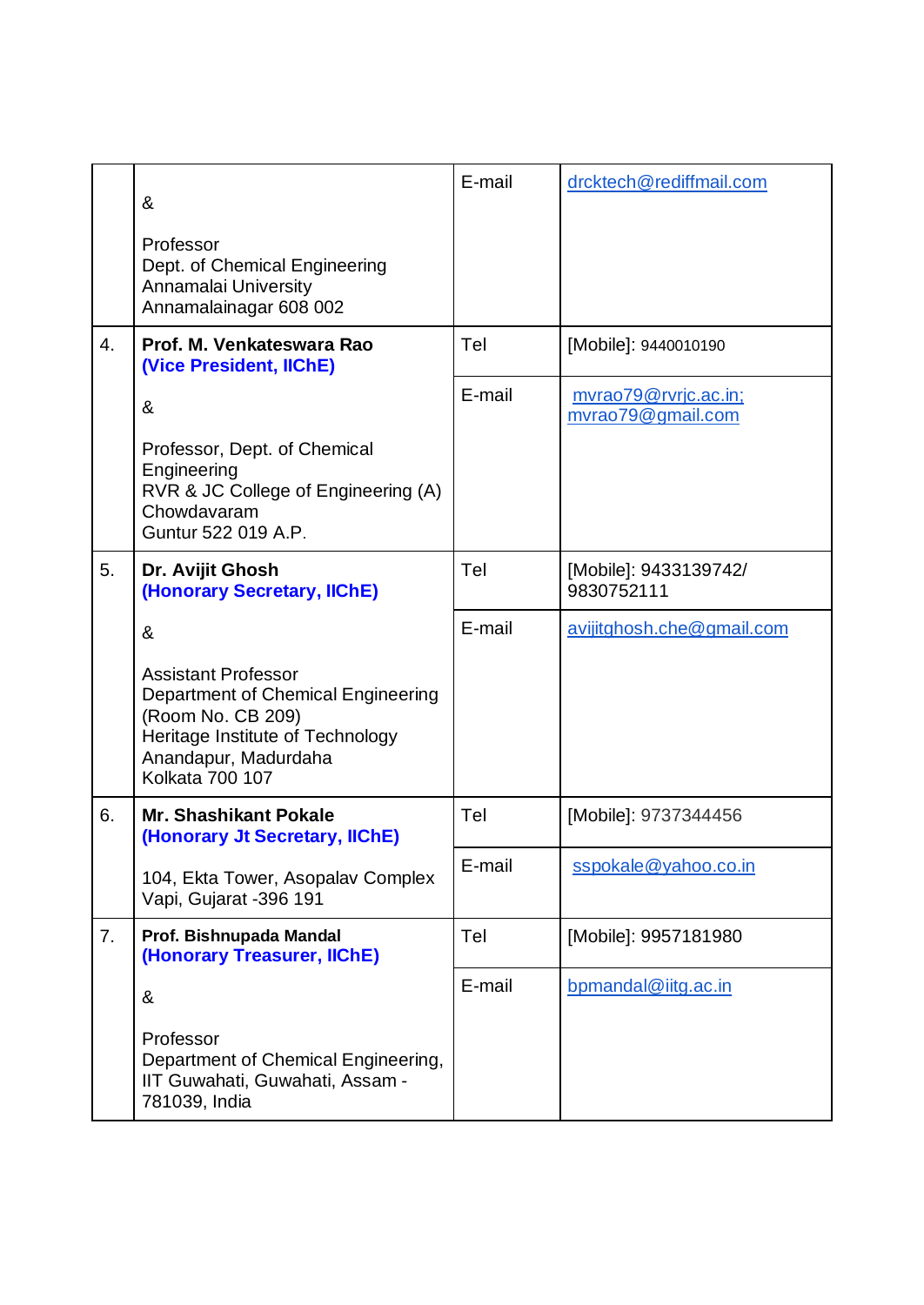|    | &<br>Professor<br>Dept. of Chemical Engineering<br>Annamalai University<br>Annamalainagar 608 002                                                                           | E-mail | drcktech@rediffmail.com                   |
|----|-----------------------------------------------------------------------------------------------------------------------------------------------------------------------------|--------|-------------------------------------------|
| 4. | Prof. M. Venkateswara Rao<br>(Vice President, IIChE)                                                                                                                        | Tel    | [Mobile]: 9440010190                      |
|    | &                                                                                                                                                                           | E-mail | mvrao79@rvrjc.ac.in;<br>mvrao79@gmail.com |
|    | Professor, Dept. of Chemical<br>Engineering<br>RVR & JC College of Engineering (A)<br>Chowdavaram<br>Guntur 522 019 A.P.                                                    |        |                                           |
| 5. | Dr. Avijit Ghosh<br>(Honorary Secretary, IIChE)                                                                                                                             | Tel    | [Mobile]: 9433139742/<br>9830752111       |
|    | &                                                                                                                                                                           | E-mail | avijitghosh.che@gmail.com                 |
|    | <b>Assistant Professor</b><br>Department of Chemical Engineering<br>(Room No. CB 209)<br>Heritage Institute of Technology<br>Anandapur, Madurdaha<br><b>Kolkata 700 107</b> |        |                                           |
| 6. | <b>Mr. Shashikant Pokale</b><br>(Honorary Jt Secretary, IIChE)                                                                                                              | Tel    | [Mobile]: 9737344456                      |
|    | 104, Ekta Tower, Asopalav Complex<br>Vapi, Gujarat -396 191                                                                                                                 | E-mail | sspokale@yahoo.co.in                      |
| 7. | Prof. Bishnupada Mandal<br>(Honorary Treasurer, IIChE)                                                                                                                      | Tel    | [Mobile]: 9957181980                      |
|    | &                                                                                                                                                                           | E-mail | bpmandal@iitg.ac.in                       |
|    | Professor<br>Department of Chemical Engineering,<br>IIT Guwahati, Guwahati, Assam -<br>781039, India                                                                        |        |                                           |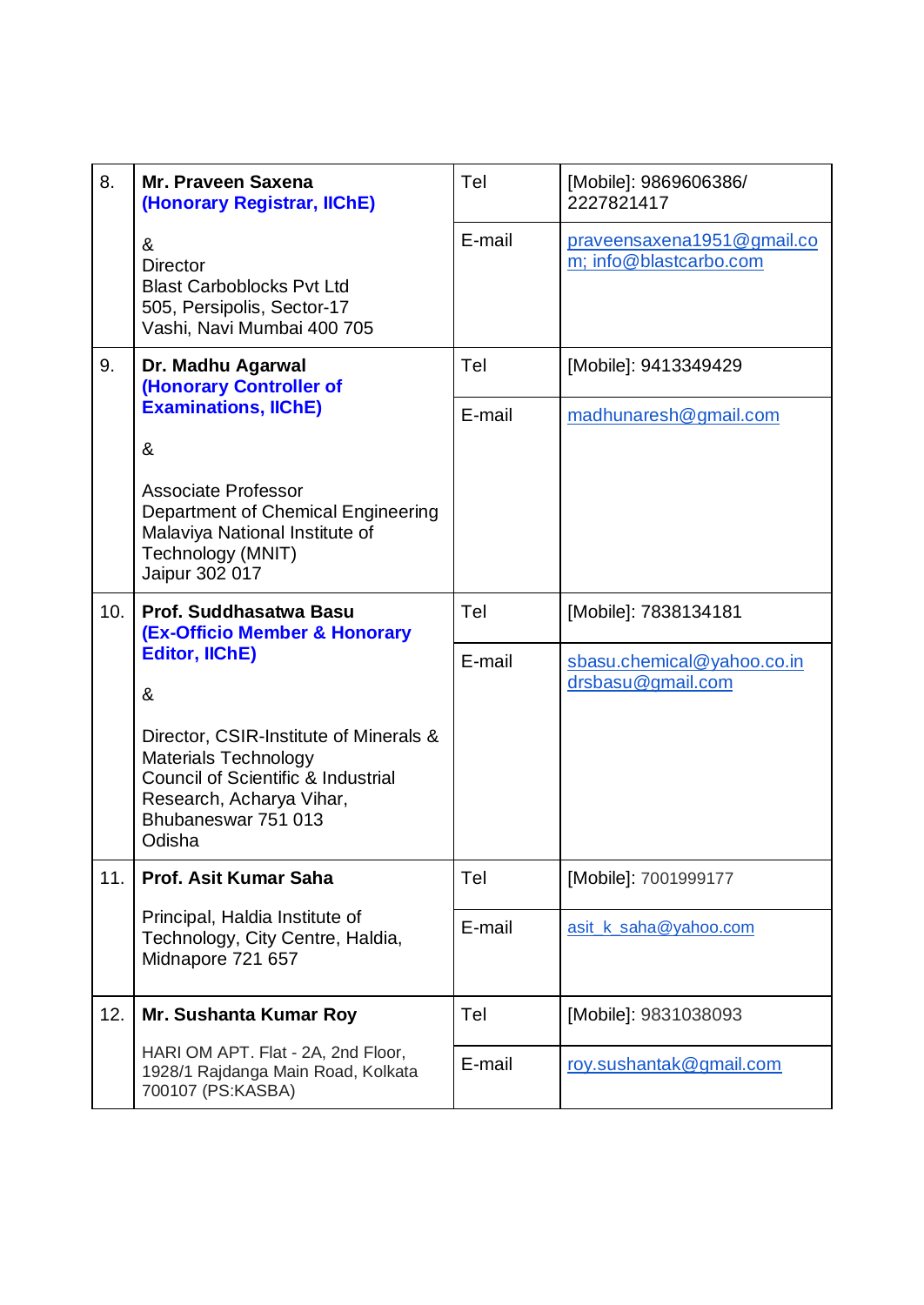| 8.  | Mr. Praveen Saxena<br>(Honorary Registrar, IIChE)                                                                                                                                   | Tel    | [Mobile]: 9869606386/<br>2227821417                  |
|-----|-------------------------------------------------------------------------------------------------------------------------------------------------------------------------------------|--------|------------------------------------------------------|
|     | &<br><b>Director</b><br><b>Blast Carboblocks Pvt Ltd</b><br>505, Persipolis, Sector-17<br>Vashi, Navi Mumbai 400 705                                                                | E-mail | praveensaxena1951@gmail.co<br>m; info@blastcarbo.com |
| 9.  | Dr. Madhu Agarwal<br>(Honorary Controller of<br><b>Examinations, IIChE)</b>                                                                                                         | Tel    | [Mobile]: 9413349429                                 |
|     |                                                                                                                                                                                     | E-mail | madhunaresh@gmail.com                                |
|     | &                                                                                                                                                                                   |        |                                                      |
|     | Associate Professor<br>Department of Chemical Engineering<br>Malaviya National Institute of<br>Technology (MNIT)<br>Jaipur 302 017                                                  |        |                                                      |
| 10. | Prof. Suddhasatwa Basu<br><b>(Ex-Officio Member &amp; Honorary</b><br><b>Editor, IIChE)</b><br>&                                                                                    | Tel    | [Mobile]: 7838134181                                 |
|     |                                                                                                                                                                                     | E-mail | sbasu.chemical@yahoo.co.in<br>drsbasu@gmail.com      |
|     | Director, CSIR-Institute of Minerals &<br><b>Materials Technology</b><br><b>Council of Scientific &amp; Industrial</b><br>Research, Acharya Vihar,<br>Bhubaneswar 751 013<br>Odisha |        |                                                      |
| 11. | Prof. Asit Kumar Saha                                                                                                                                                               | Tel    | [Mobile]: 7001999177                                 |
|     | Principal, Haldia Institute of<br>Technology, City Centre, Haldia,<br>Midnapore 721 657                                                                                             | E-mail | asit k saha@yahoo.com                                |
| 12. | Mr. Sushanta Kumar Roy                                                                                                                                                              | Tel    | [Mobile]: 9831038093                                 |
|     | HARI OM APT. Flat - 2A, 2nd Floor,<br>1928/1 Rajdanga Main Road, Kolkata<br>700107 (PS:KASBA)                                                                                       | E-mail | roy.sushantak@gmail.com                              |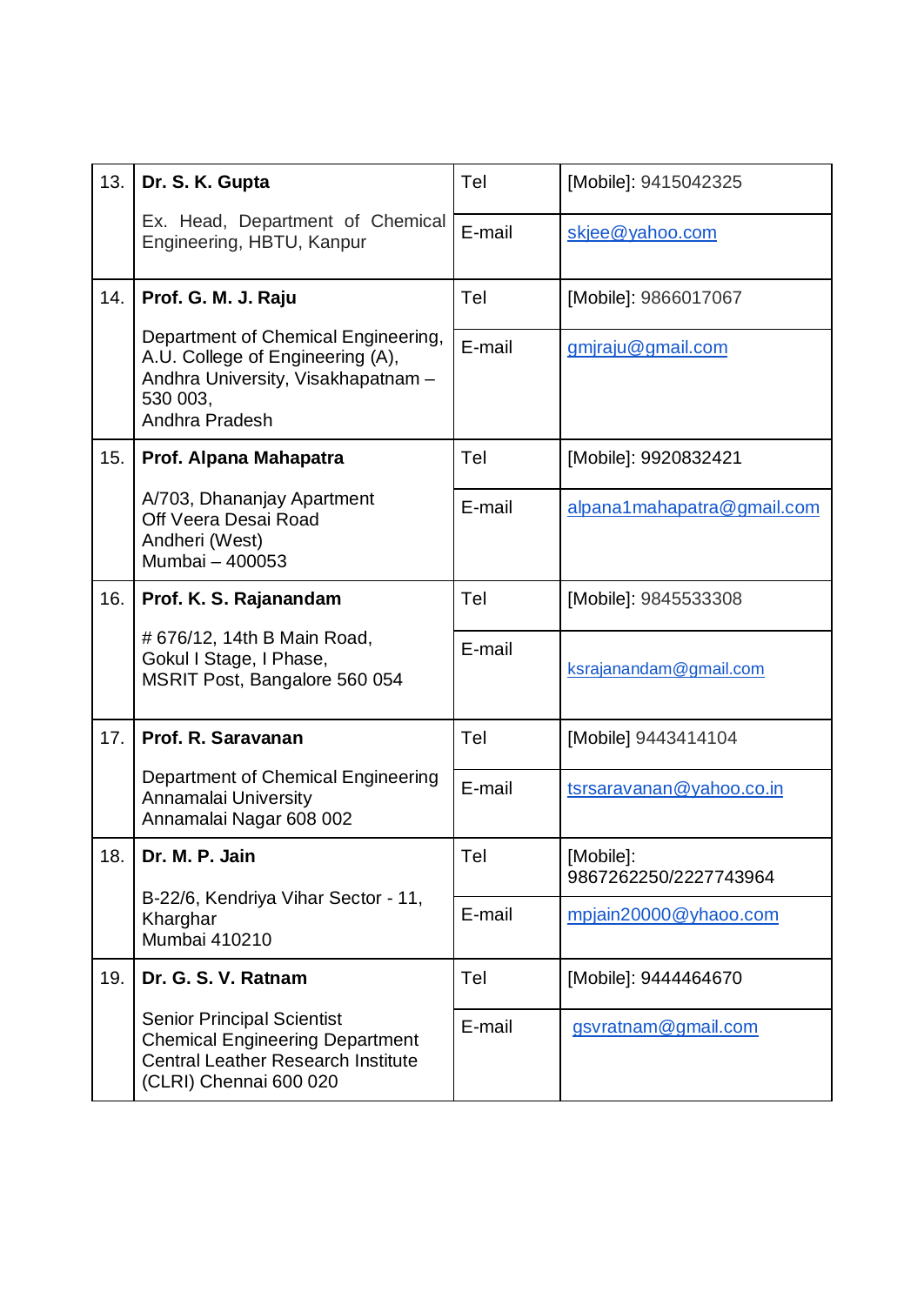| 13. | Dr. S. K. Gupta                                                                                                                                    | Tel    | [Mobile]: 9415042325               |
|-----|----------------------------------------------------------------------------------------------------------------------------------------------------|--------|------------------------------------|
|     | Ex. Head, Department of Chemical<br>Engineering, HBTU, Kanpur                                                                                      | E-mail | skjee@yahoo.com                    |
| 14. | Prof. G. M. J. Raju                                                                                                                                | Tel    | [Mobile]: 9866017067               |
|     | Department of Chemical Engineering,<br>A.U. College of Engineering (A),<br>Andhra University, Visakhapatnam -<br>530 003,<br>Andhra Pradesh        | E-mail | gmjraju@gmail.com                  |
| 15. | Prof. Alpana Mahapatra                                                                                                                             | Tel    | [Mobile]: 9920832421               |
|     | A/703, Dhananjay Apartment<br>Off Veera Desai Road<br>Andheri (West)<br>Mumbai - 400053                                                            | E-mail | alpana1mahapatra@gmail.com         |
| 16. | Prof. K. S. Rajanandam                                                                                                                             | Tel    | [Mobile]: 9845533308               |
|     | # 676/12, 14th B Main Road,<br>Gokul I Stage, I Phase,<br>MSRIT Post, Bangalore 560 054                                                            | E-mail | ksrajanandam@gmail.com             |
| 17. | Prof. R. Saravanan                                                                                                                                 | Tel    | [Mobile] 9443414104                |
|     | Department of Chemical Engineering<br>Annamalai University<br>Annamalai Nagar 608 002                                                              | E-mail | tsrsaravanan@yahoo.co.in           |
| 18. | Dr. M. P. Jain<br>B-22/6, Kendriya Vihar Sector - 11,<br>Kharghar<br>Mumbai 410210                                                                 | Tel    | [Mobile]:<br>9867262250/2227743964 |
|     |                                                                                                                                                    | E-mail | mpjain20000@yhaoo.com              |
| 19. | Dr. G. S. V. Ratnam                                                                                                                                | Tel    | [Mobile]: 9444464670               |
|     | <b>Senior Principal Scientist</b><br><b>Chemical Engineering Department</b><br><b>Central Leather Research Institute</b><br>(CLRI) Chennai 600 020 | E-mail | gsvratnam@gmail.com                |